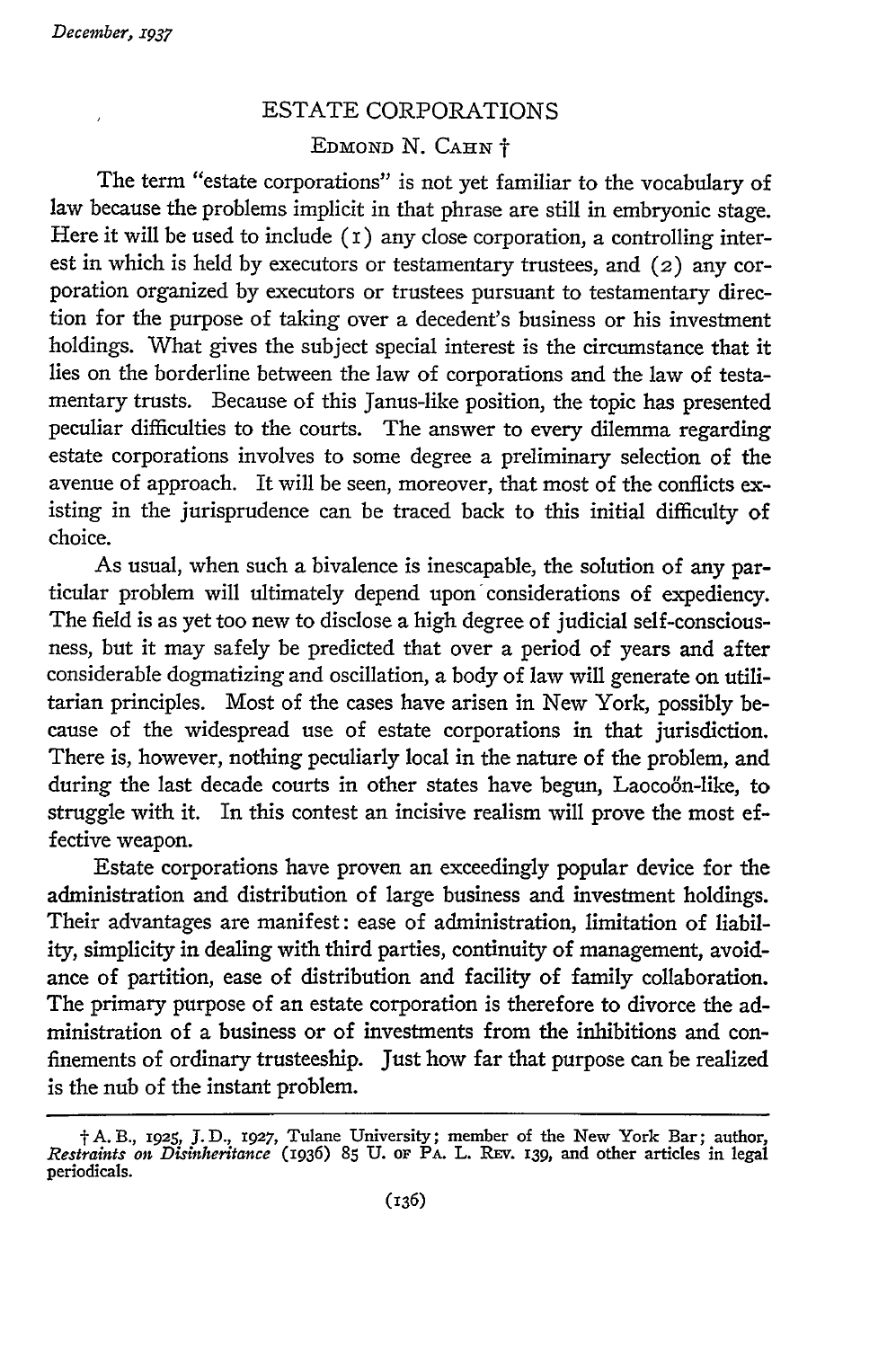## ESTATE CORPORATIONS EDMOND N. **CAHN** <sup>t</sup>

The term "estate corporations" is not yet familiar to the vocabulary of law because the problems implicit in that phrase are still in embryonic stage. Here it will be used to include  $(i)$  any close corporation, a controlling interest in which is held by executors or testamentary trustees, and (2) any corporation organized by executors or trustees pursuant to testamentary direction for the purpose of taking over a decedent's business or his investment holdings. What gives the subject special interest is the circumstance that it lies on the borderline between the law of corporations and the law of testamentary trusts. Because of this Janus-like position, the topic has presented peculiar difficulties to the courts. The answer to every dilemma regarding estate corporations involves to some degree a preliminary selection of the avenue of approach. It will be seen, moreover, that most of the conflicts existing in the jurisprudence can be traced back to this initial difficulty of choice.

As usual, when such a bivalence is inescapable, the solution of any particular problem will ultimately depend upon considerations of expediency. The field is as yet too new to disclose a high degree of judicial self-consciousness, but it may safely be predicted that over a period of years and after considerable dogmatizing and oscillation, a body of law will generate on utilitarian principles. Most of the cases have arisen in New York, possibly because of the widespread use of estate corporations in that jurisdiction. There is, however, nothing peculiarly local in the nature of the problem, and during the last decade courts in other states have begun, Laocoon-like, to struggle with it. In this contest an incisive realism will prove the most effective weapon.

Estate corporations have proven an exceedingly popular device for the administration and distribution of large business and investment holdings. Their advantages are manifest: ease of administration, limitation of liability, simplicity in dealing with third parties, continuity of management, avoidance of partition, ease of distribution and facility of family collaboration. The primary purpose of an estate corporation is therefore to divorce the administration of a business or of investments from the inhibitions and confinements of ordinary trusteeship. Just how far that purpose can be realized is the nub of the instant problem.

t **A.B.,** 1925, J. *D.,* 1927, Tulane University; member of the New York Bar; author, *Restraints on Disinheritance* **(1936) 85 U.** OF PA. **L. REv. 139,** and other articles in legal periodicals.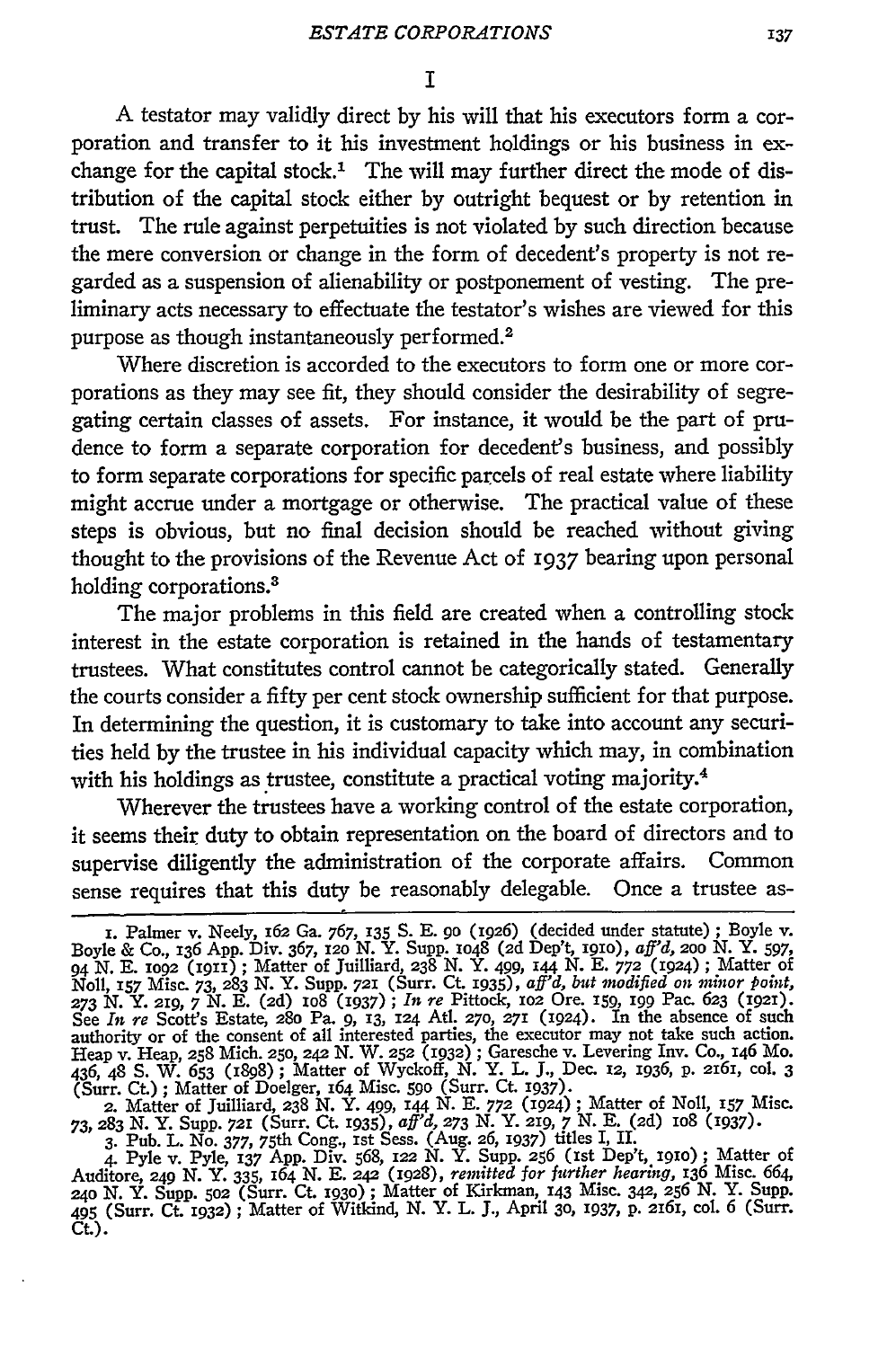**A** testator may validly direct by his will that his executors form a corporation and transfer to it his investment holdings or his business in exchange for the capital stock.' The will may further direct the mode of distribution of the capital stock either by outright bequest or by retention in trust. The rule against perpetuities is not violated by such direction because the mere conversion or change in the form of decedent's property is not regarded as a suspension of alienability or postponement of vesting. The preliminary acts necessary to effectuate the testator's wishes are viewed for this purpose as though instantaneously performed. <sup>2</sup>

Where discretion is accorded to the executors to form one or more corporations as they may see fit, they should consider the desirability of segregating certain classes of assets. For instance, it would be the part of prudence to form a separate corporation for decedent's business, and possibly to form separate corporations for specific parcels of real estate where liability might accrue under a mortgage or otherwise. The practical value of these steps is obvious, but no final decision should be reached without giving thought to the provisions of the Revenue Act of 1937 bearing upon personal holding corporations.<sup>3</sup>

The major problems in this field are created when a controlling stock interest in the estate corporation is retained in the hands of testamentary trustees. What constitutes control cannot be categorically stated. Generally the courts consider a fifty per cent stock ownership sufficient for that purpose. In determining the question, it is customary to take into account any securities held by the trustee in his individual capacity which may, in combination with his holdings as trustee, constitute a practical voting majority.<sup>4</sup>

Wherever the trustees have a working control of the estate corporation, it seems their duty to obtain representation on the board of directors and to supervise diligently the administration of the corporate affairs. Common sense requires that this duty be reasonably delegable. Once a trustee as-

**73, 283 N.** Y. Supp. *721* (Surr. Ct. 1935), *aff'd,* **273 N.** Y. 219, 7 **N. E. (2d)** io8 (i937). 3. Pub. L. No. 377, 75th Cong., **1st** Sess. (Aug. **26,** 1937) titles I, **II.**

4. Pyle v. Pyle, **137 App.** Div. 568, 122 N. Y. **Supp.** 256 (ist Dep't, igio) ; Matter of Auditore, **249 N. Y. 335, 164 N. E.** 242 (1928), *remitted for further hearing,* 136 Misc. 664, 24o *N.* Y. Supp. **502** (Surr. Ct. i93o) **;** Matter of Kirkman, **143** Misc. 342, **256** N. Y. Supp. 495 (Surr. Ct. 1932) **;** Matter of Witkind, N. Y. L. **J.,** April 3o, 1937, **P.** 2161, col. 6 (Surr. Ct.).

**<sup>.</sup>** Palmer v. Neely, **162** Ga. 767, **135** S. E. **90** (1926) (decided under statute) ; Boyle v. Boyle & Co., **136 App.** Div. 367, *12o* N. Y. Supp. io48 **(2d** Dep't, i9io), *aff'd, 20o* N. **Y.** *597,* 94 **N. E.** *io92* (I911) ; Matter of Juilliard, **238 N.** Y. 499, 144 N. **E. 772** (1924) **;** Matter of *Noll,* **157** Misc. *73,* **283 N.** Y. Supp. **721** (Surr. Ct. I935), *aff'd, but modified on minor point,* **273** N. Y. 219, 7 N. E. **(2d) Io8** (I937) ; *In re* Pittock, **io2** Ore. **159,** ig Pac. 623 (1921). See *In re* Scott's Estate, **280** Pa. 9, 13, 124 At. **27o,** 271 (1924). In the absence of such authority or of the consent of all interested parties, the executor may not take such action. Heap v. Heap, **258** Mich. **250, 242** N. W. **252** (1932) **;** Garesche v. Levering Inv. Co., 146 Mo. 436, 48 S. W. 653 (898); Matter of Wyckoff, N. Y. L. **J.,** Dec. 12, 1936, p. 2161, col. 3 (Surr. C) ; Matter of Doelger, 164 Misc. **590** (Surr. Ct. 1937). 2. Matter of Juilliard, 238 N. Y. 499, **144** N. E. **772** (1924) **;** Matter of Noll, *157* Misc.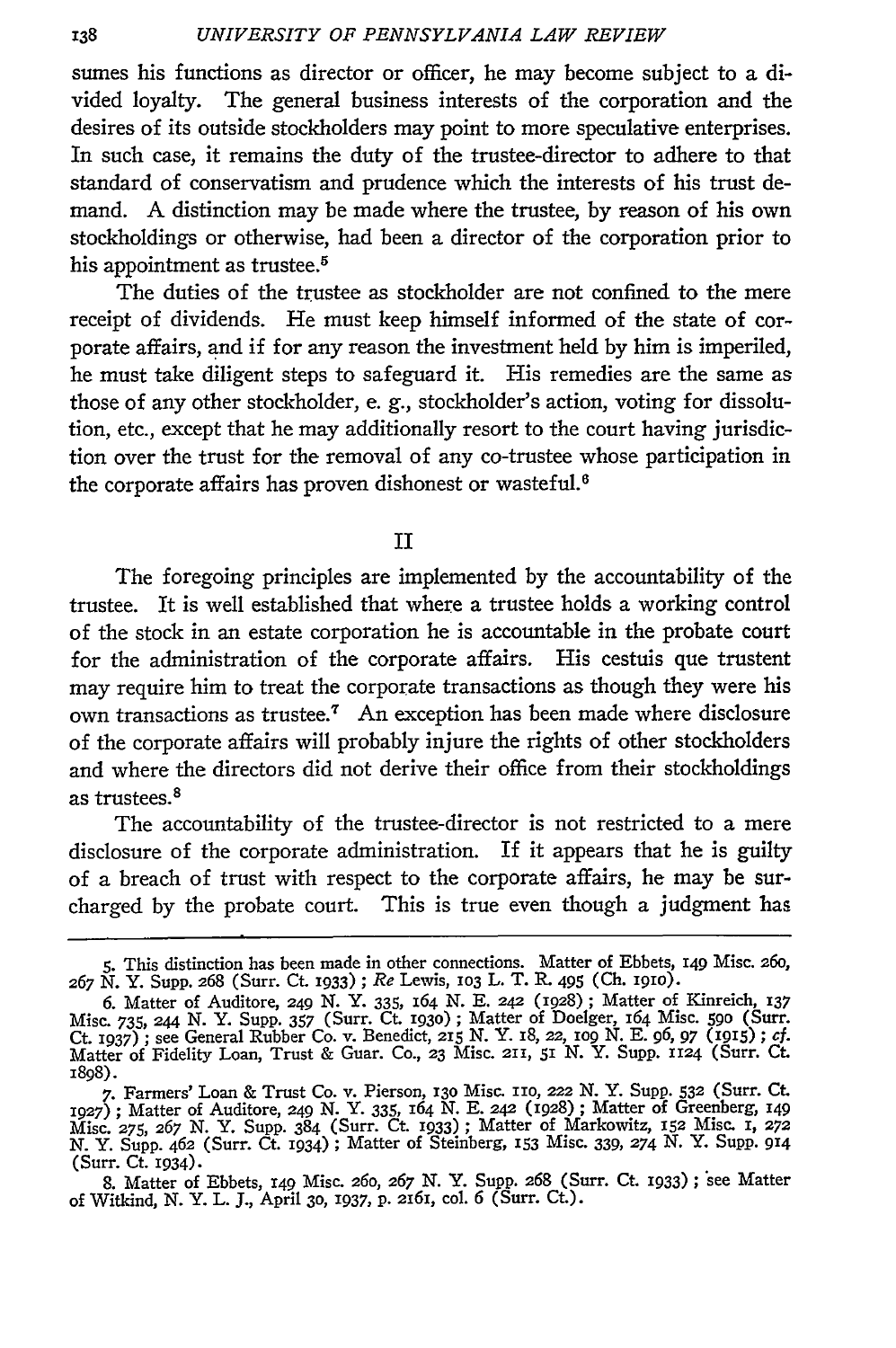sumes his functions as director or officer, he may become subject to a divided loyalty. The general business interests of the corporation and the desires of its outside stockholders may point to more speculative enterprises. In such case, it remains the duty of the trustee-director to adhere to that standard of conservatism and prudence which the interests of his trust demand. A distinction may be made where the trustee, by reason of his own stockholdings or otherwise, had been a director of the corporation prior to his appointment as trustee.<sup>5</sup>

The duties of the trustee as stockholder are not confined to the mere receipt of dividends. He must keep himself informed of the state of corporate affairs, and if for any reason the investment held by him is imperiled, he must take diligent steps to safeguard it. His remedies are the same as those of any other stockholder, e. g., stockholder's action, voting for dissolution, etc., except that he may additionally resort to the court having jurisdiction over the trust for the removal of any co-trustee whose participation in the corporate affairs has proven dishonest or wasteful.<sup>6</sup>

II

The foregoing principles are implemented by the accountability of the trustee. It is well established that where a trustee holds a working control of the stock in an estate corporation he is accountable in the probate court for the administration of the corporate affairs. His cestuis que trustent may require him to treat the corporate transactions as though they were his own transactions as trustee.7 An exception has been made where disclosure of the corporate affairs will probably injure the rights of other stockholders and where the directors did not derive their office from their stockholdings as trustees.<sup>8</sup>

The accountability of the trustee-director is not restricted to a mere disclosure of the corporate administration. If it appears that he is guilty of a breach of trust with respect to the corporate affairs, he may be surcharged by the probate court. This is true even though a judgment has

**<sup>5.</sup>** This distinction has been made in other connections. Matter of Ebbets, **149** Misc. 26o, **<sup>267</sup>**N. Y. Supp. 268 (Surr. Ct. 1933) **;** *Re* Lewis, **103** L. T. R. 495 (Ch. i9IO).

<sup>6.</sup> Matter of Auditore, 249 N. Y. 335, 164 N. E. 242 (1928) **;** Matter of Kinreich, *i37* Misc. 735, 244 N. Y. Supp. 357 (Surr. Ct. **I93O) ;** Matter of Doelger, 164 Misc. **590** (Surr. Ct. 1937) ; see General Rubber Co. v. Benedict, 215 N. Y. i8, **22, io9** N. E. *96, 97* **(915) ;** *cf.* Matter of Fidelity Loan, Trust & Guar. Co., **23** Misc. **211, 5I** *N.* Y. Supp. **1124** (Surr. Ct. 1898).

<sup>7.</sup> Farmers' Loan & Trust Co. v. Pierson, 130 Misc. 110, 222 N. Y. Supp. 532 (Surr. Ct. **1927) ;** Matter of Auditore, 249 *N.* Y. 335, *164* N. E. 242 (1928) **;** Matter of Greenberg, **149** Misc. *275, 267* N. Y. Supp. 384 (Surr. Ct. 1933) **;** Matter of Markowitz, **152** Misc. **I, 272** *N.* Y. Supp. 462 (Surr. Ct. 1934) **;** Matter of Steinberg, **153** Misc. 339, 274 N. Y. SupP. **914** (Surr. Ct. 1934).

<sup>8.</sup> Matter of Ebbets, **149** Misc. 26o, *267* N. Y. Supp. **268** (Surr. Ct. 1933) ; -see Matter of Witkind, **N.** Y. L. J., April **30, 1937, p. 2161,** col. 6 (Surr. Ct.).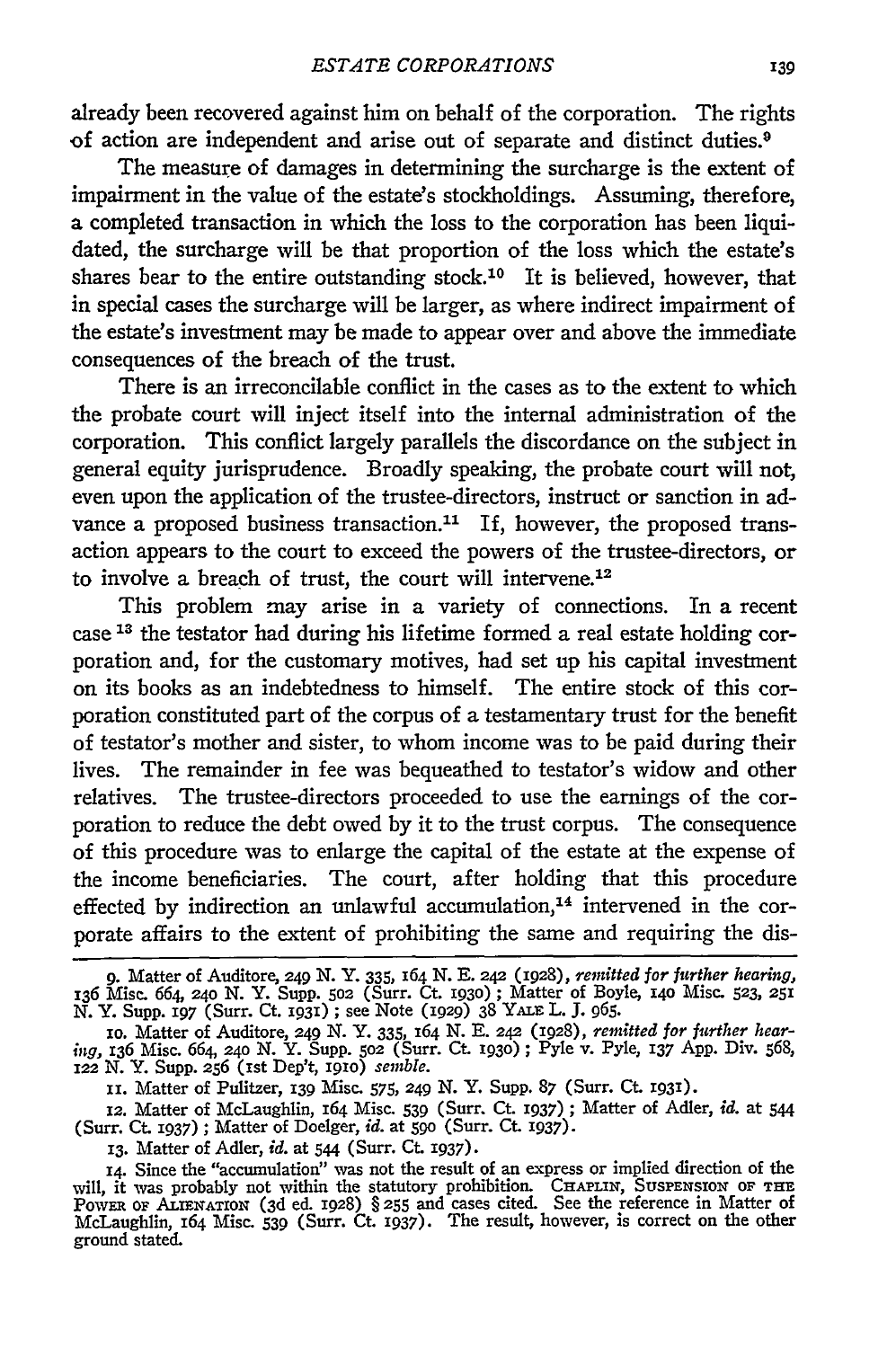already been recovered against him on behalf of the corporation. The rights of action are independent and arise out of separate and distinct duties.<sup>9</sup>

The measure of damages in determining the surcharge is the extent of impairment in the value of the estate's stockholdings. Assuming, therefore, a completed transaction in which the loss to the corporation has been liquidated, the surcharge will be that proportion of the loss which the estate's shares bear to the entire outstanding stock.<sup>10</sup> It is believed, however, that in special cases the surcharge will be larger, as where indirect impairment of the estate's investment may be made to appear over and above the immediate consequences of the breach of the trust.

There is an irreconcilable conflict in the cases as to the extent to which the probate court will inject itself into the internal administration of the corporation. This conflict largely parallels the discordance on the subject in general equity jurisprudence. Broadly speaking, the probate court will not, even upon the application of the trustee-directors, instruct or sanction in advance a proposed business transaction.<sup>11</sup> If, however, the proposed transaction appears to the court to exceed the powers of the trustee-directors, or to involve a breach of trust, the court will intervene.<sup>12</sup>

This problem may arise in a variety of connections. In a recent case **1 <sup>3</sup>**the testator had during his lifetime formed a real estate holding corporation and, for the customary motives, had set up his capital investment on its books as an indebtedness to himself. The entire stock of this corporation constituted part of the corpus of a testamentary trust for the benefit of testator's mother and sister, to whom income was to be paid during their lives. The remainder in fee was bequeathed to testator's widow and other relatives. The trustee-directors proceeded to use the earnings of the corporation to reduce the debt owed **by** it to the trust corpus. The consequence of this procedure was to enlarge the capital of the estate at the expense of the income beneficiaries. The court, after holding that this procedure effected by indirection an unlawful accumulation,<sup>14</sup> intervened in the corporate affairs to the extent of prohibiting the same and requiring the dis-

**<sup>9.</sup>** Matter of Auditore, **249 N. Y. 335, 164 N. E.** 242 (1928), *remitted for further hearing,* 136 Misc. 664, **24o N.** Y. Supp. **502** (Surr. Ct. 1930) **;** Matter of Boyle, **140** Misc. **523, 251** *N.* Y. Supp. **197** (Surr. Ct. ig3i) ; see Note (1929) 38 YALE L. J. 965.

**<sup>1</sup>o.** Matter of Auditore, 249 *N.* Y. 335, 164 **N. E. 242** (1928), *remitted for further hearing,* 136 Misc. 664, **24o** N. Y. Supp. **502** (Surr. **Ct. 193o) ;** Pyle v. Pyle, 137 App. Div. 568, *122* N. Y. Supp. **256** (ist Dep't, igio) *semble.*

**I.** Matter of Pulitzer, **139** Misc. 575, 249 N. Y. Supp. **87** (Surr. Ct. 193i).

**<sup>12.</sup>** Matter of McLaughlin, 164 Misc. **539** (Surr. Ct. 1937) **;** Matter of Adler, *id.* at **544** (Surr. Ct. 1937) ; Matter of Doelger, *id.* at 59o (Surr. Ct. **1937).**

**<sup>13.</sup>** Matter of Adler, *id.* at 544 (Surr. Ct. **1937).**

<sup>14.</sup> Since the "accumulation" was not the result of an express or implied direction of the will, it was probably not within the statutory prohibition. CHAPLIN, SUSPENSION OF THE POWER OF ALIENATION (3d ed. 1928) § 255 and cases cited. See the reference in Matter of McLaughlin, 164 Misc. **539** (Surr. Ct. 1937). The result, however, is correct on the other ground stated.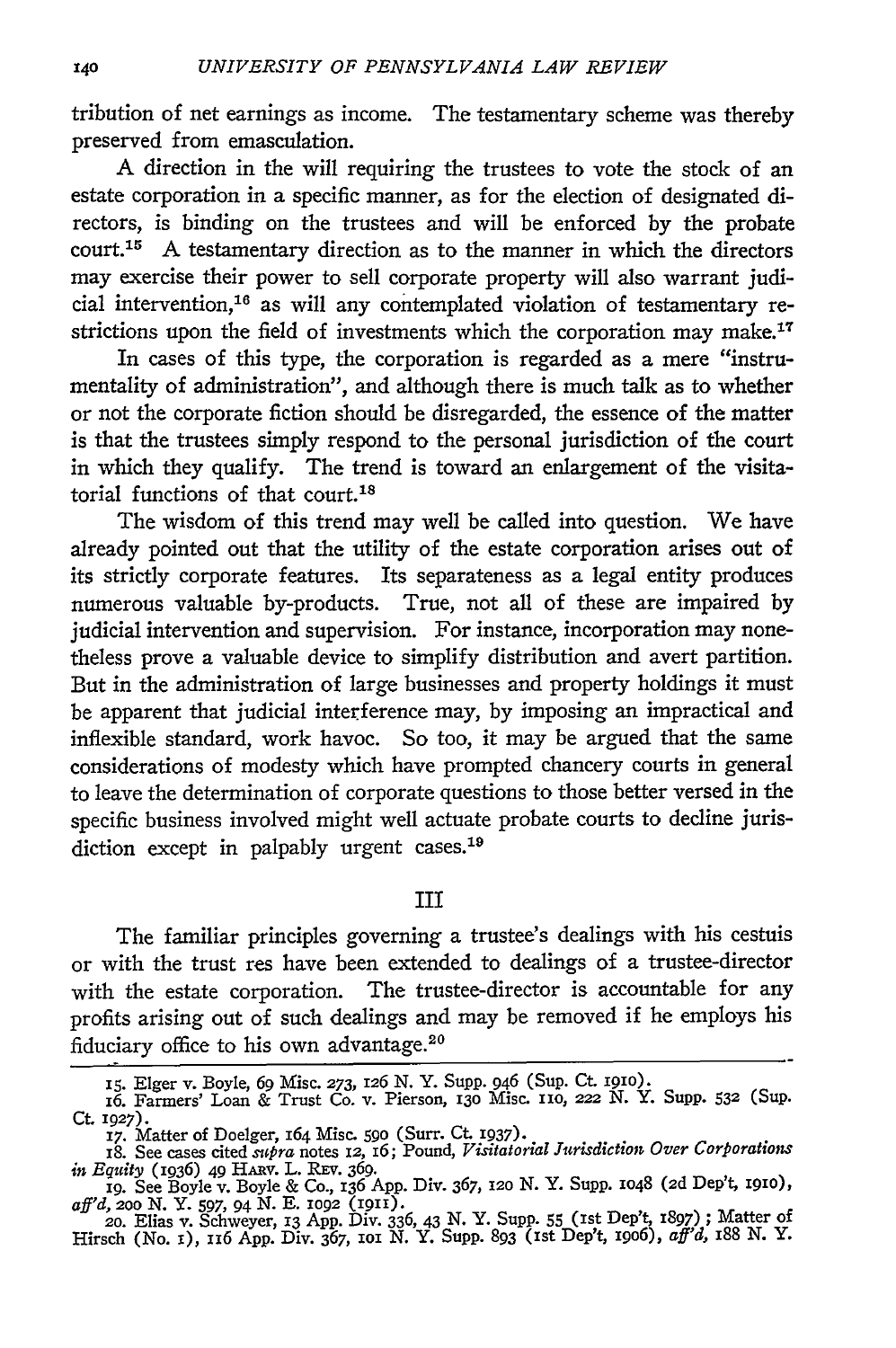tribution of net earnings as income. The testamentary scheme was thereby preserved from emasculation.

A direction in the will requiring the trustees to vote the stock of an estate corporation in a specific manner, as for the election of designated directors, is binding on the trustees and will be enforced **by** the probate court.15 A testamentary direction as to the manner in which the directors may exercise their power to sell corporate property will also warrant judicial intervention,16 as will any contemplated violation of testamentary restrictions upon the field of investments which the corporation may make.<sup>17</sup>

In cases of this type, the corporation is regarded as a mere "instrumentality of administration", and although there is much talk as to whether or not the corporate fiction should be disregarded, the essence of the matter is that the trustees simply respond to the personal jurisdiction of the court in which they qualify. The trend is toward an enlargement of the visitatorial functions of that court.<sup>18</sup>

The wisdom of this trend may well be called into question. We have already pointed out that the utility of the estate corporation arises out of its strictly corporate features. Its separateness as a legal entity produces numerous valuable by-products. True, not all of these are impaired **by** judicial intervention and supervision. For instance, incorporation may nonetheless prove a valuable device to simplify distribution and avert partition. But in the administration of large businesses and property holdings it must be apparent that judicial interference may, **by** imposing an impractical and inflexible standard, work havoc. So too, it may be argued that the same considerations of modesty which have prompted chancery courts in general to leave the determination of corporate questions to those better versed in the specific business involved might well actuate probate courts to decline jurisdiction except in palpably urgent cases.<sup>19</sup>

III

The familiar principles governing a trustee's dealings with his cestuis or with the trust res have been extended to dealings of a trustee-director with the estate corporation. The trustee-director is accountable for any profits arising out of such dealings and may be removed if he employs his fiduciary office to his own advantage.<sup>20</sup>

aff'd, 200 N. Y. 597, 94 N. E. 1092 (1911).<br>20. Elias v. Schweyer, 13 App. Div. 336, 43 N. Y. Supp. 55 (1st Dep't, 1897); Matter of<br>Hirsch (No. 1), 116 App. Div. 367, 101 N. Y. Supp. 893 (1st Dep't, 1906), aff'd, 188 N. Y.

**<sup>15.</sup>** Elger v. Boyle, 69 Misc. 273, 126 **N.** Y. Supp. 946 (Sup. Ct **191o).** 16. Farmers' Loan & Trust Co. v. Pierson, 13o Misc. 110, **222 N.** Y. Supp. **532** (Sup. **Ct.** 1927).

**<sup>17.</sup>** Matter of Doelger, 164 Misc. **590** (Surr. Ct **1937).**

<sup>18.</sup> See cases cited *supra* notes **12,** 16; Pound, *Visitatorial Jurisdiction Over Corporations in Equity* (1936) 49 HARV. L. **REV. 369.** ig. See Boyle v. Boyle & Co., **136 App.** Div. 367, *i2o* N. Y. **Supp. 1048 (2d** Dep't, **igio),**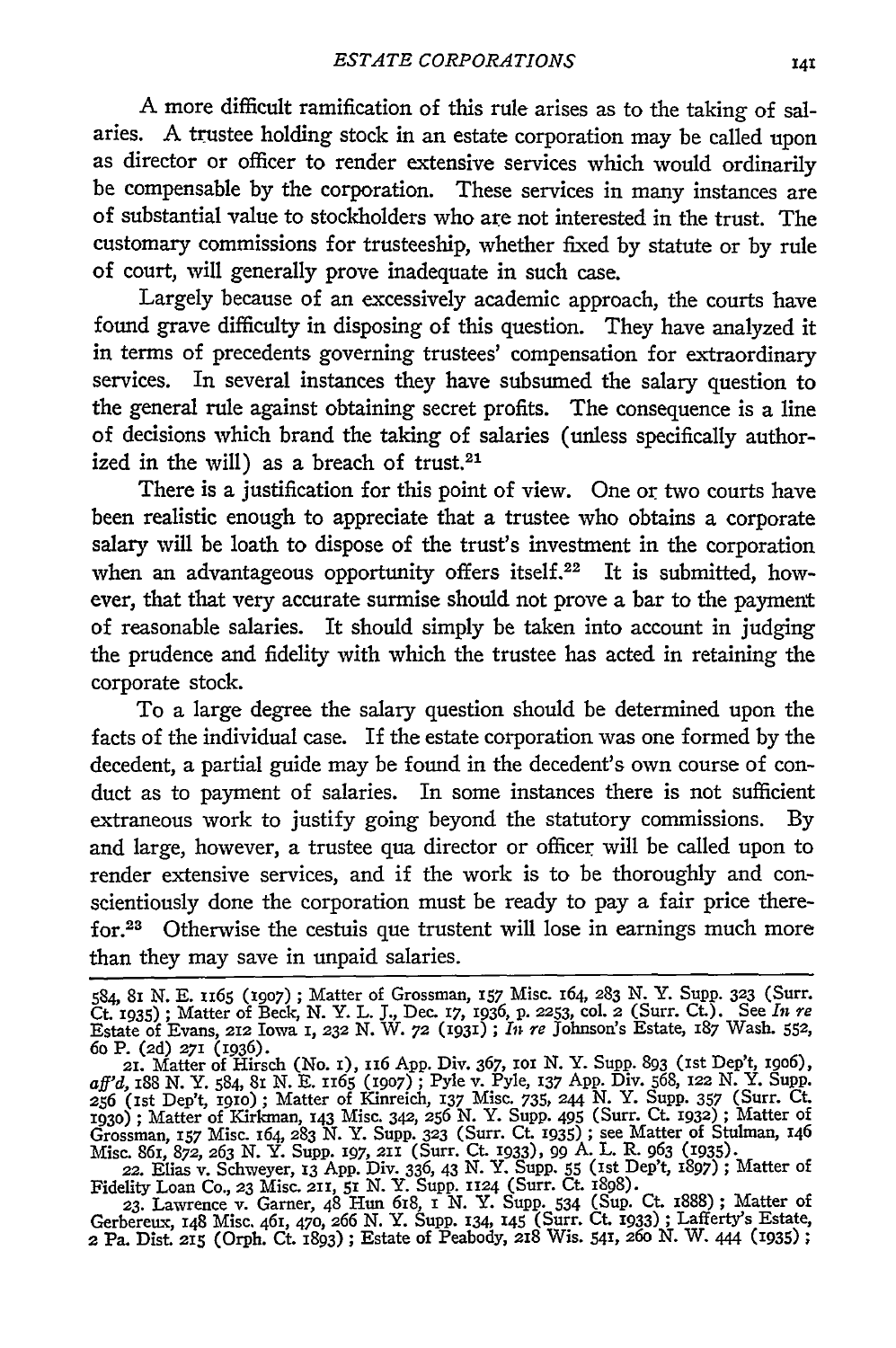A more difficult ramification of this rule arises as to the taking of salaries. A trustee holding stock in an estate corporation may be called upon as director or officer to render extensive services which would ordinarily be compensable by the corporation. These services in many instances are of substantial value to stockholders who are not interested in the trust. The customary commissions for trusteeship, whether fixed by statute or by rule of court, will generally prove inadequate in such case.

Largely because of an excessively academic approach, the courts have found grave difficulty in disposing of this question. They have analyzed it in terms of precedents governing trustees' compensation for extraordinary services. In several instances they have subsumed the salary question to the general rule against obtaining secret profits. The consequence is a line of decisions which brand the taking of salaries (unless specifically authorized in the will) as a breach of trust.<sup>21</sup>

There is a justification for this point of view. One or two courts have been realistic enough to appreciate that a trustee who obtains a corporate salary will be loath to dispose of the trust's investment in the corporation when an advantageous opportunity offers itself.<sup>22</sup> It is submitted, however, that that very accurate surmise should not prove a bar to the payment of reasonable salaries. It should simply be taken into account in judging the prudence and fidelity with which the trustee has acted in retaining the corporate stock.

To a large degree the salary question should be determined upon the facts of the individual case. If the estate corporation was one formed by the decedent, a partial guide may be found in the decedent's own course of conduct as to payment of salaries. In some instances there is not sufficient extraneous work to justify going beyond the statutory commissions. By and large, however, a trustee qua director or officer will be called upon to render extensive services, and if the work is to be thoroughly and conscientiously done the corporation must be ready to pay a fair price therefor.<sup>23</sup> Otherwise the cestuis que trustent will lose in earnings much more than they may save in unpaid salaries.

Fidelity Loan Co., **23** Misc. **211,** 51 N. Y. Supp. 1124 (Surr. Ct. 1898). **23.** Lawrence v. Garner, 48 Hun 618, 1 *N.* Y. SupP. 534 (Sup. Ct. I888); Matter of

Gerbereux, 148 Misc. 461, 470, 266 N. Y. Supp. 134, 145 (Surr. **Ct** 1933) ; Lafferty's Estate, 2 Pa. Dist. **215** (Orph. Ct. 1893) ; Estate of Peabody, 218 Wis. 541, 26o N. W. 444 (1935) **;**

<sup>584, 81</sup> N. E. 1165 (1907) ; Matter of Grossman, 157 Misc. 164, 283 N. Y. Supp. 323 (Surr.<br>Ct. 1935) ; Matter of Beck, N. Y. L. J., Dec. 17, 1936, p. 2253, col. 2 (Surr. Ct.). See In re Estate of Evans, 212 Iowa 1, **232** N. W. **72 (1931) ;** *In re* Johnson's Estate, 187 Wash. **552,** 6o P. (2d) 271 (1936). 21. Matter of Hirsch (No. 1), 116 **App.** Div. 367, **1o N.** Y. Supp. 893 (1st Dep't, i9o6),

*aff'd,* 188 N. Y. 584, 8I N. E. 1165 **(1907) ;** Pyle v. Pyle, 137 App. Div. 568, 122 N. Y. Supp. **<sup>256</sup>**(1st Dep't, **191o) ;** Matter of Kinreich, 137 Misc. 735, 244 N. Y. Supp. 357 (Surr. Ct. **1930) ;** Matter of **KYirkman,** 143 Misc. 342, 256 N. Y. Supp. 495 (Surr. Ct. 1932) **;** Matter of Grossman, **157** Misc. 164, 283 N. Y. Supp. **323** (Surr. Ct. 1935) **;** see Matter of Stulman, 146 Misc. 861, 872, 263 N. Y. Supp. 197, 211 (Surr. Ct. 1933), 99 A. L. R. 963 (1935).<br>22. Elias v. Schweyer, 13 App. Div. 336, 43 N. Y. Supp. 55 (1st Dep't, 1897); Matter of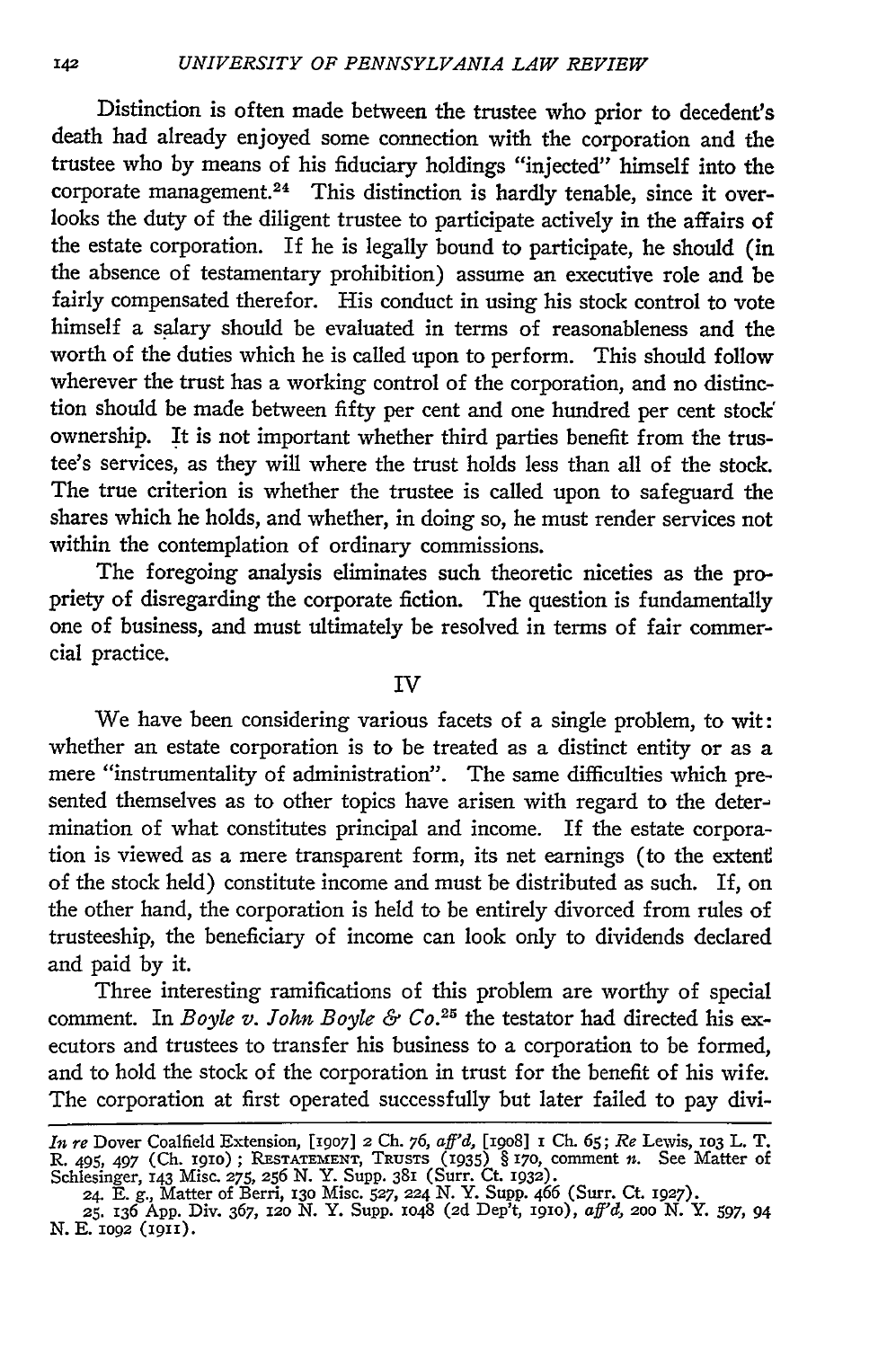Distinction is often made between the trustee who prior to decedent's death had already enjoyed some connection with the corporation and the trustee who by means of his fiduciary holdings "injected" himself into the corporate management.<sup>24</sup> This distinction is hardly tenable, since it overlooks the duty of the diligent trustee to participate actively in the affairs of the estate corporation. If he is legally bound to participate, he should (in the absence of testamentary prohibition) assume an executive role and be fairly compensated therefor. His conduct in using his stock control to vote himself a salary should be evaluated in terms of reasonableness and the worth of the duties which he is called upon to perform. This should follow wherever the trust has a working control of the corporation, and no distinction should be made between fifty per cent and one hundred per cent stock ownership. It is not important whether third parties benefit from the trustee's services, as they will where the trust holds less than all of the stock. The true criterion is whether the trustee is called upon to safeguard the shares which he holds, and whether, in doing so, he must render services not within the contemplation of ordinary commissions.

The foregoing analysis eliminates such theoretic niceties as the propriety of disregarding the corporate fiction. The question is fundamentally one of business, and must ultimately be resolved in terms of fair commercial practice.

## IV

We have been considering various facets of a single problem, to wit: whether an estate corporation is to be treated as a distinct entity or as a mere "instrumentality of administration". The same difficulties which presented themselves as to other topics have arisen with regard to the determination of what constitutes principal and income. If the estate corporation is viewed as a mere transparent form, its net earnings (to the extent of the stock held) constitute income and must be distributed as such. If, on the other hand, the corporation is held to be entirely divorced from rules of trusteeship, the beneficiary of income can look only to dividends declared and paid by it.

Three interesting ramifications of this problem are worthy of special comment. In *Boyle v. John Boyle & Co.25* the testator had directed his executors and trustees to transfer his business to a corporation to be formed, and to hold the stock of the corporation in trust for the benefit of his wife. The corporation at first operated successfully but later failed to pay divi-

*In re* Dover Coalfield Extension, **[1907]** 2 Ch. 76, *aff'd,* [i9o8] **i Ch.** 65; *Re* Lewis, **1O3** L. T. R. **495,** *497* (Ch. igio) ; RESTATEMENT, TRUSTS (1935) § 170, comment *n.* See Matter of Schlesinger, 143 Misc. **275, 256** N. Y. Supp. **381** (Surr. Ct. 1932). **24.** E. g., Matter of Berri, **130** Misc. **527, 224** N. Y. Supp. 466 (Surr. Ct. 1927).

**<sup>25.</sup>** 136 App. Div. 367, **12o N.** Y. Supp. 1O48 **(2d** Dep't, igio), *aft'd, 2oo* **N.** *Y. 597,* 94 N. E. 1092 (1911).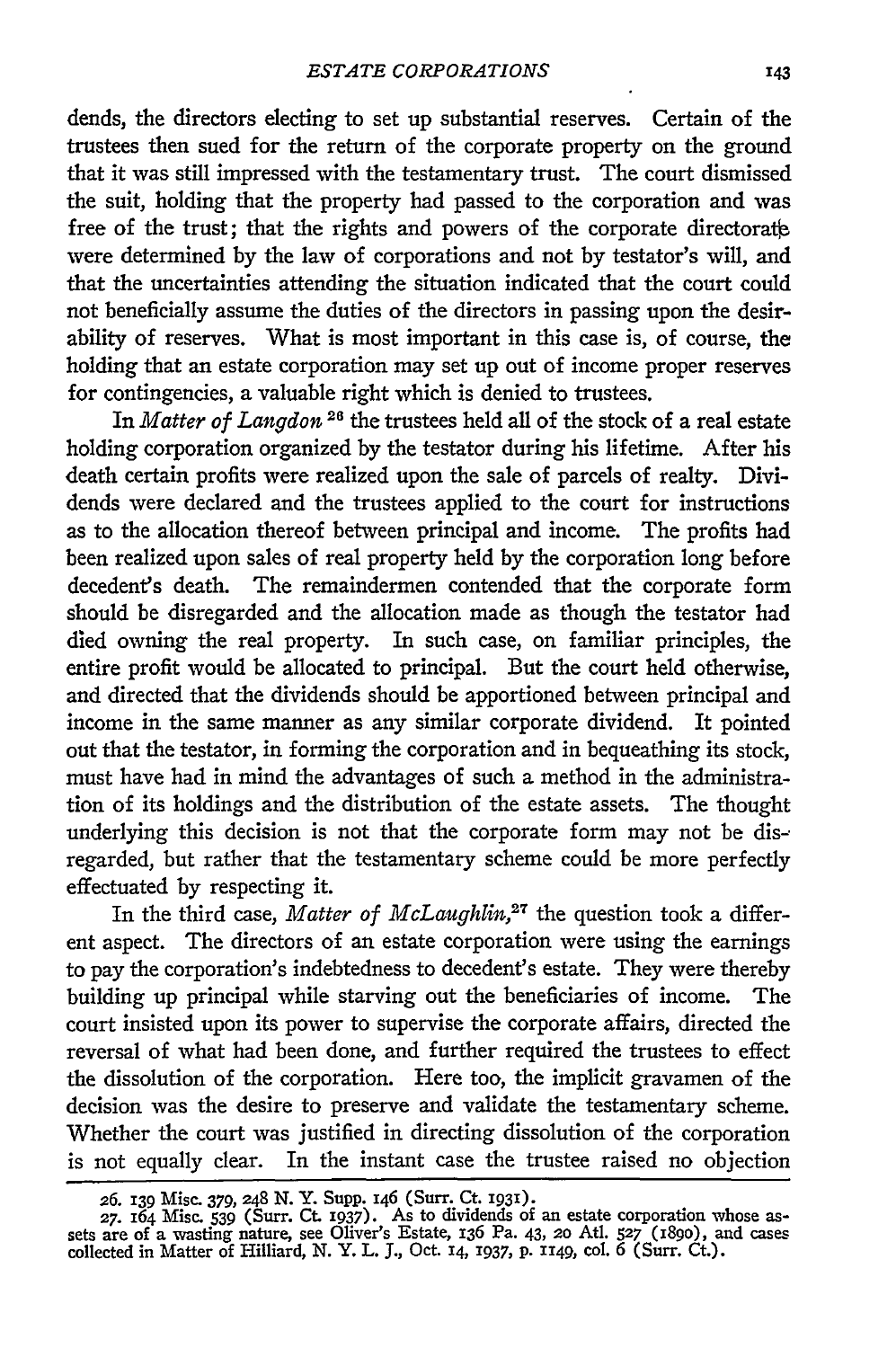dends, the directors electing to set up substantial reserves. Certain of the trustees then sued for the return of the corporate property on the ground that it was still impressed with the testamentary trust. The court dismissed the suit, holding that the property had passed to the corporation and was free of the trust; that the rights and powers of the corporate directorate were determined by the law of corporations and not by testator's will, and that the uncertainties attending the situation indicated that the court could not beneficially assume the duties of the directors in passing upon the desirability of reserves. What is most important in this case is, of course, the holding that an estate corporation may set up out of income proper reserves for contingencies, a valuable right which is denied to trustees.

In *Matter of Langdon*<sup>26</sup> the trustees held all of the stock of a real estate holding corporation organized by the testator during his lifetime. After his death certain profits were realized upon the sale of parcels of realty. Dividends were declared and the trustees applied to the court for instructions as to the allocation thereof between principal and income. The profits had been realized upon sales of real property held by the corporation long before decedent's death. The remaindermen contended that the corporate form should be disregarded and the allocation made as though the testator had died owning the real property. In such case, on familiar principles, the entire profit would be allocated to principal. But the court held otherwise, and directed that the dividends should be apportioned between principal and income in the same manner as any similar corporate dividend. It pointed out that the testator, in forming the corporation and in bequeathing its stock, must have had in mind the advantages of such a method in the administration of its holdings and the distribution of the estate assets. The thought underlying this decision is not that the corporate form may not be disregarded, but rather that the testamentary scheme could be more perfectly effectuated by respecting it.

In the third case, *Matter of McLaughlin,27* the question took a different aspect. The directors of an estate corporation were using the earnings to pay the corporation's indebtedness to decedent's estate. They were thereby building up principal while starving out the beneficiaries of income. The court insisted upon its power to supervise the corporate affairs, directed the reversal of what had been done, and further required the trustees to effect the dissolution of the corporation. Here too, the implicit gravamen of the decision was the desire to preserve and validate the testamentary scheme. Whether the court was justified in directing dissolution of the corporation is not equally clear. In the instant case the trustee raised no objection

**<sup>26.</sup>** 139 Misc. 379, 248 **N.** Y. Supp. 146 (Surr. Ct. 1931). **27.** 164 Misc. **539** (Surr. Ct **1937).** As to dividends of an estate corporation whose assets are of a wasting nature, see Oliver's Estate, 136 Pa. 43, **20** AtI. **527** (189o), and cases collected in Matter of Hilliard, N. Y. L. **J.,** Oct. **14,** 1937, p. **1149,** col. 6 (Surr. Ct.).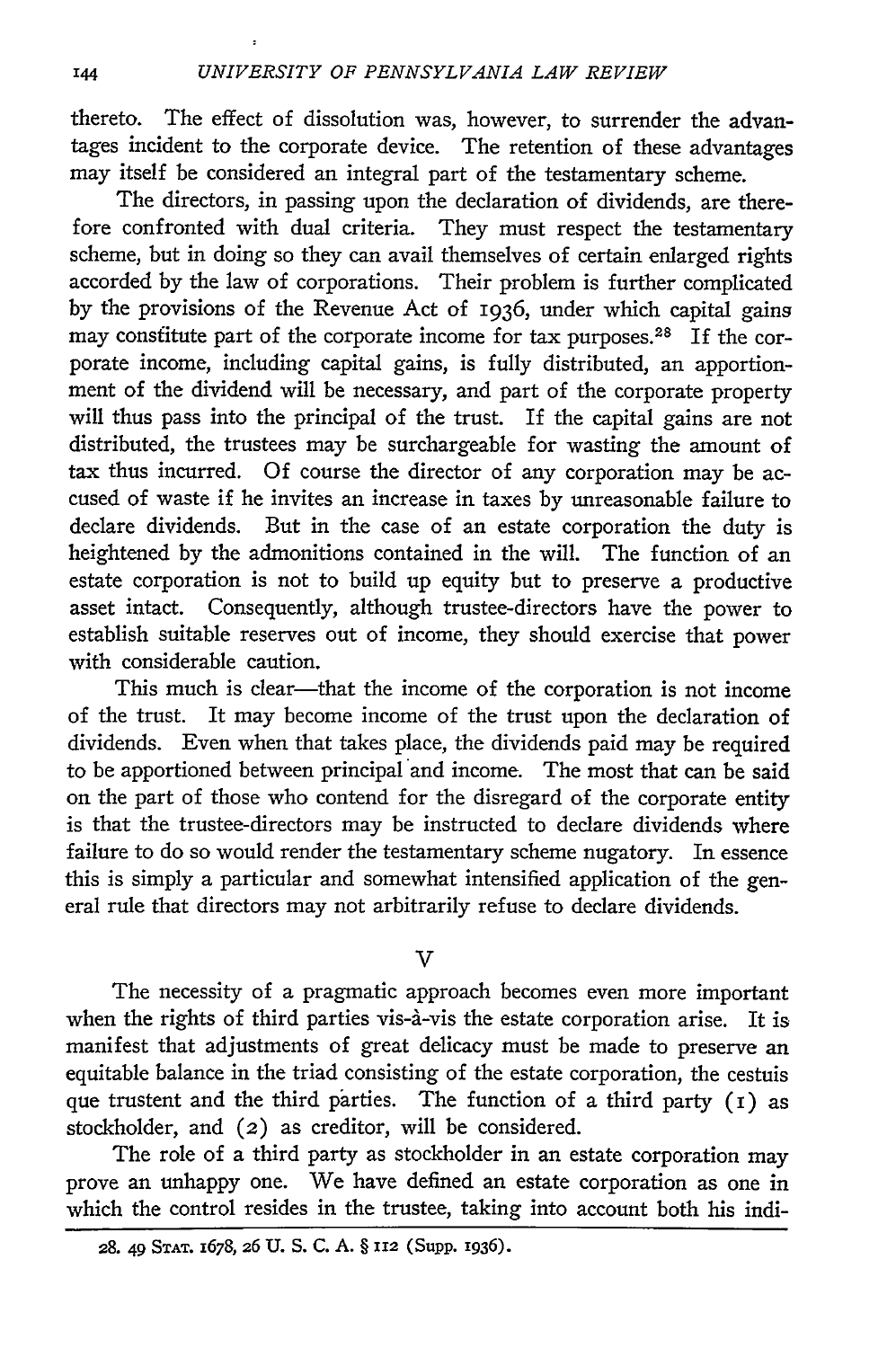thereto. The effect of dissolution was, however, to surrender the advantages incident to the corporate device. The retention of these advantages may itself be considered an integral part of the testamentary scheme.

The directors, in passing upon the declaration of dividends, are therefore confronted with dual criteria. They must respect the testamentary scheme, but in doing so they can avail themselves of certain enlarged rights accorded **by** the law of corporations. Their problem is further complicated **by** the provisions of the Revenue Act of 1936, under which capital gains may constitute part of the corporate income for tax purposes.<sup>28</sup> If the corporate income, including capital gains, is fully distributed, an apportionment of the dividend will be necessary, and part of the corporate property will thus pass into the principal of the trust. If the capital gains are not distributed, the trustees may be surchargeable for wasting the amount of tax thus incurred. Of course the director of any corporation may be accused of waste if he invites an increase in taxes **by** unreasonable failure to declare dividends. But in the case of an estate corporation the duty is heightened **by** the admonitions contained in the will. The function of an estate corporation is not to build up equity but to preserve a productive asset intact. Consequently, although trustee-directors have the power to establish suitable reserves out of income, they should exercise that power with considerable caution.

This much is clear-that the income of the corporation is not income of the trust. It may become income of the trust upon the declaration of dividends. Even when that takes place, the dividends paid may be required to be apportioned between principal and income. The most that can be said on the part of those who contend for the disregard of the corporate entity is that the trustee-directors may be instructed to declare dividends where failure to do so would render the testamentary scheme nugatory. In essence this is simply a particular and somewhat intensified application of the general rule that directors may not arbitrarily refuse to declare dividends.

V

The necessity of a pragmatic approach becomes even more important when the rights of third parties vis-a-vis the estate corporation arise. It is manifest that adjustments of great delicacy must be made to preserve an equitable balance in the triad consisting of the estate corporation, the cestuis que trustent and the third parties. The function of a third party (i) as stockholder, and (2) as creditor, will be considered.

The role of a third party as stockholder in an estate corporation may prove an unhappy one. We have defined an estate corporation as one in which the control resides in the trustee, taking into account both his indi-

**<sup>28.</sup> 49 STAT. 1678,** 26 **U. S. C. A.** § **112 (SupP.** I936).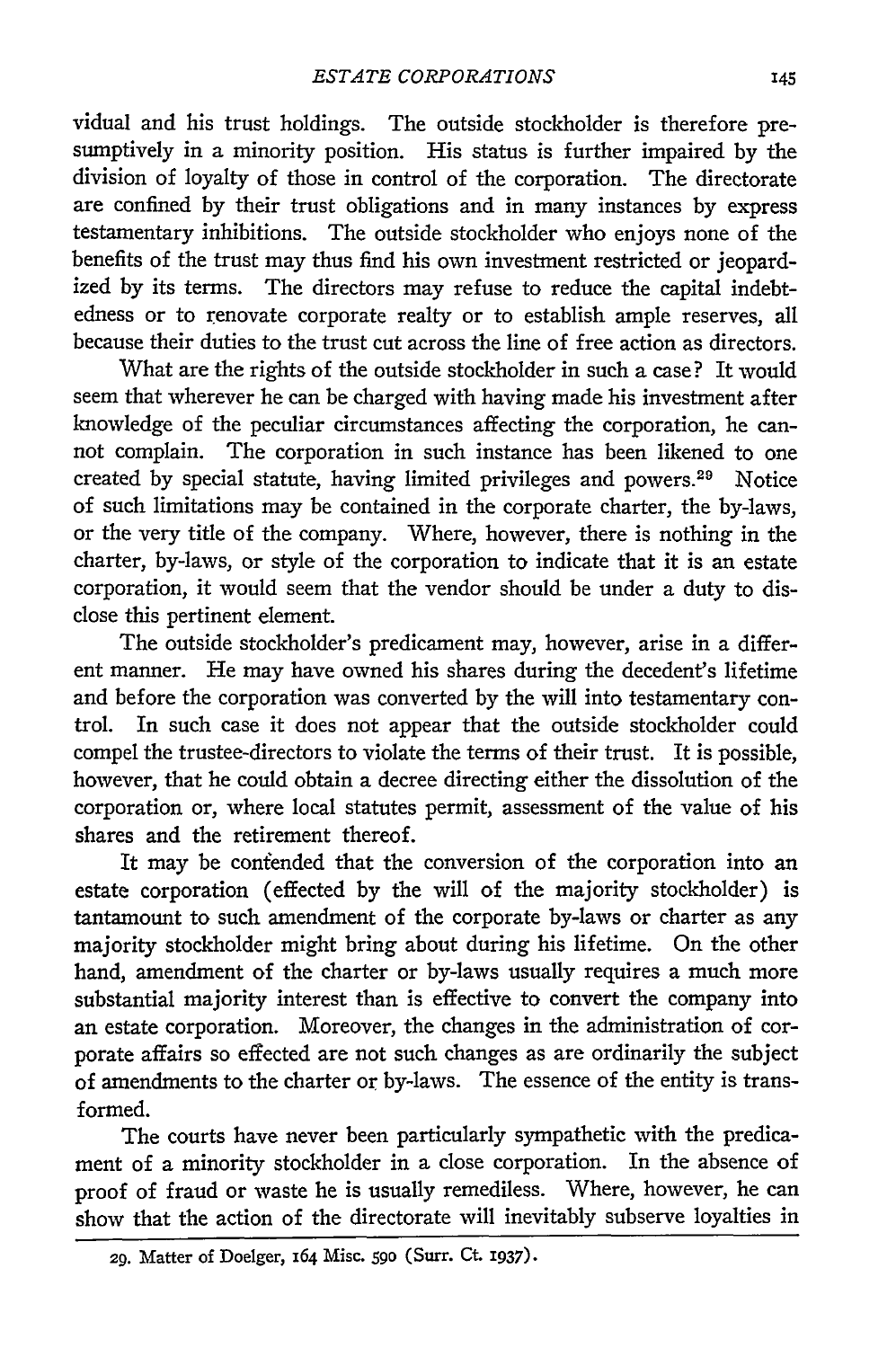vidual and his trust holdings. The outside stockholder is therefore presumptively in a minority position. His status is further impaired by the division of loyalty of those in control of the corporation. The directorate are confined by their trust obligations and in many instances by express testamentary inhibitions. The outside stockholder who enjoys none of the benefits of the trust may thus find his own investment restricted or jeopardized by its terms. The directors may refuse to reduce the capital indebtedness or to renovate corporate realty or to establish ample reserves, all because their duties to the trust cut across the line of free action as directors.

What are the rights of the outside stockholder in such a case? It would seem that wherever he can be charged with having made his investment after knowledge of the peculiar circumstances affecting the corporation, he cannot complain. The corporation in such instance has been likened to one created by special statute, having limited privileges and powers. 29 Notice of such limitations may be contained in the corporate charter, the by-laws, or the very title of the company. Where, however, there is nothing in the charter, by-laws, or style of the corporation to indicate that it is an estate corporation, it would seem that the vendor should be under a duty to disclose this pertinent element.

The outside stockholder's predicament may, however, arise in a different manner. He may have owned his shares during the decedent's lifetime and before the corporation was converted by the will into testamentary control. In such case it does not appear that the outside stockholder could compel the trustee-directors to violate the terms of their trust. It is possible, however, that he could obtain a decree directing either the dissolution of the corporation or, where local statutes permit, assessment of the value of his shares and the retirement thereof.

It may be confended that the conversion of the corporation into an estate corporation (effected by the will of the majority stockholder) is tantamount to such amendment of the corporate by-laws or charter as any majority stockholder might bring about during his lifetime. On the other hand, amendment of the charter or by-laws usually requires a much more substantial majority interest than is effective to convert the company into an estate corporation. Moreover, the changes in the administration of corporate affairs so effected are not such changes as are ordinarily the subject of amendments to the charter or by-laws. The essence of the entity is transformed.

The courts have never been particularly sympathetic with the predicament of a minority stockholder in a close corporation. In the absence of proof of fraud or waste he is usually remediless. Where, however, he can show that the action of the directorate will inevitably subserve loyalties in

**<sup>29.</sup>** Matter of Doelger, 164 Misc. **590** (Surf. Ct. 1937).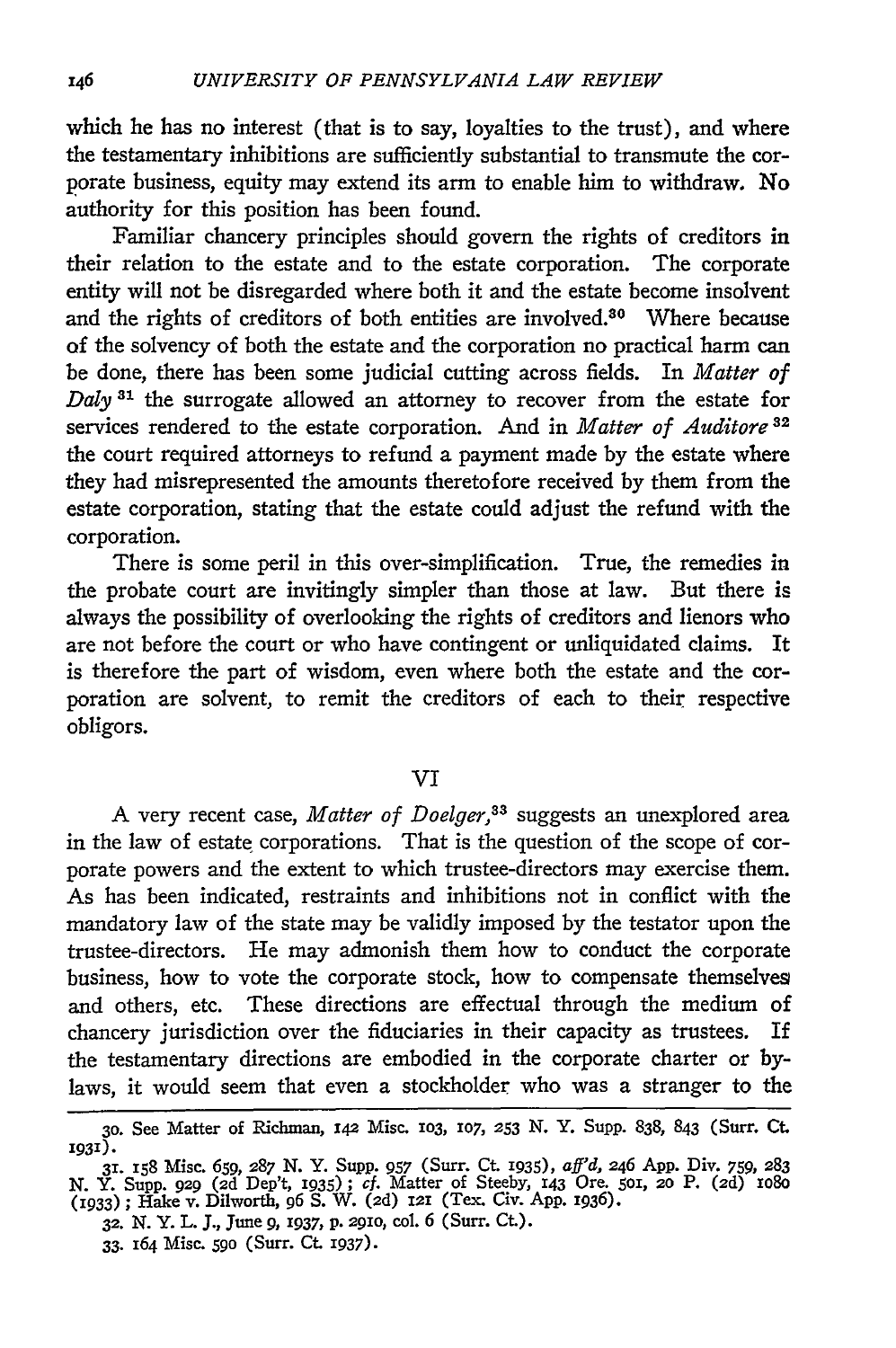which he has no interest (that is to say, loyalties to the trust), and where the testamentary inhibitions are sufficiently substantial to transmute the corporate business, equity may extend its arm to enable him to withdraw. No authority for this position has been found.

Familiar chancery principles should govern the rights of creditors in their relation to the estate and to the estate corporation. The corporate entity will not be disregarded where both it and the estate become insolvent and the rights of creditors of both entities are involved.<sup>80</sup> Where because of the solvency of both the estate and the corporation no practical harm can be done, there has been some judicial cutting across fields. In *Matter of Daly* **31** the surrogate allowed an attorney to recover from the estate for services rendered to the estate corporation. And in *Matter of Auditore <sup>32</sup>* the court required attorneys to refund a payment made by the estate where they had misrepresented the amounts theretofore received by them from the estate corporation, stating that the estate could adjust the refund with the corporation.

There is some peril in this over-simplification. True, the remedies in the probate court are invitingly simpler than those at law. But there is always the possibility of overlooking the rights of creditors and lienors who are not before the court or who have contingent or unliquidated claims. It is therefore the part of wisdom, even where both the estate and the corporation are solvent, to remit the creditors of each to their respective obligors.

## VI

A very recent case, *Matter of Doelger,33* suggests an unexplored area in the law of estate corporations. That is the question of the scope of corporate powers and the extent to which trustee-directors may exercise them. As has been indicated, restraints and inhibitions not in conflict with the mandatory law of the state may be validly imposed by the testator upon the trustee-directors. He may admonish them how to conduct the corporate business, how to vote the corporate stock, how to compensate themselves and others, etc. These directions are effectual through the medium of chancery jurisdiction over the fiduciaries in their capacity as trustees. If the testamentary directions are embodied in the corporate charter or **by**laws, it would seem that even a stockholder who was a stranger to the

**<sup>30.</sup>** See Matter of Richman, **142** Misc. **103, 107, 253** N. Y. Supp. 838, 843 (Surr. Ct. **193).**

**<sup>31.</sup>** i58 Misc. **659,** 287 **N.** Y. Supp. *957* (Surr. Ct. **1935),** *aff'd,* 246 **App.** Div. *759,* **283** N. Y. Supp. **929** (2d Dep't, 1935) **;** *cf.* Matter of Steeby, **143** Ore. **501, 20** P. **(2d)** io8o (1933) **;** Hake v. Dilworth, *96* **S.** W. **(2d) 121** (Tex. Civ. App. 1936).

**<sup>32.</sup> N.** Y. L. **J.,** June 9, **1937, p. 2910,** col. 6 (Surr. **Ct.).**

<sup>33. 164</sup> Misc. 59o (Surr. Ct. 1937).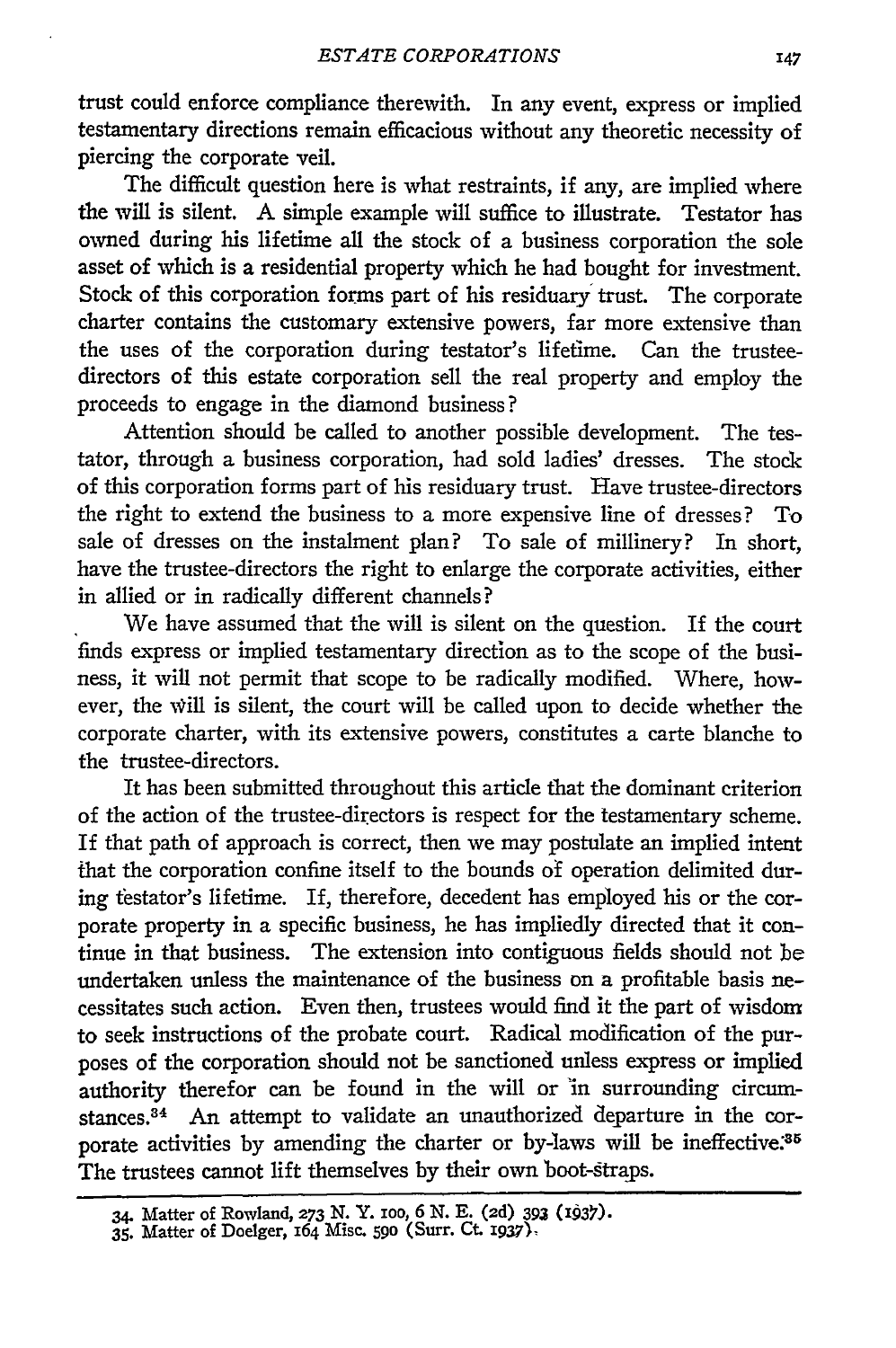trust could enforce compliance therewith. In any event, express or implied testamentary directions remain efficacious without any theoretic necessity of piercing the corporate veil.

The difficult question here is what restraints, if any, are implied where the will is silent. A simple example will suffice to illustrate. Testator has owned during his lifetime all the stock of a business corporation the sole asset of which is a residential property which he had bought for investment. Stock of this corporation forms part of his residuary trust. The corporate charter contains the customary extensive powers, far more extensive than the uses of the corporation during testator's lifetime. Can the trusteedirectors of this estate corporation sell the real property and employ the proceeds to engage in the diamond business?

Attention should be called to another possible development. The testator, through a business corporation, had sold ladies' dresses. The stock of this corporation forms part of his residuary trust. Have trustee-directors the right to extend the business to a more expensive line of dresses? To sale of dresses on the instalment plan? To sale of millinery? In short, have the trustee-directors the right to enlarge the corporate activities, either in allied or in radically different channels?

We have assumed that the will is silent on the question. If the court finds express or implied testamentary direction as to the scope of the business, it will not permit that scope to be radically modified. Where, however, the Will is silent, the court will be called upon to decide whether the corporate charter, with its extensive powers, constitutes a carte blanche to the trustee-directors.

It has been submitted throughout this article that the dominant criterion of the action of the trustee-directors is respect for the testamentary scheme. If that path of approach is correct, then we may postulate an implied intent that the corporation confine itself to the bounds of operation delimited during testator's lifetime. If, therefore, decedent has employed his or the corporate property in a specific business, he has impliedly directed that it continue in that business. The extension into contiguous fields should not be undertaken unless the maintenance of the business on a profitable basis necessitates such action. Even then, trustees would find it the part of wisdom to seek instructions of the probate court. Radical modification of the purposes of the corporation should not be sanctioned unless express or implied authority therefor can be found in the will or in surrounding circumstances.<sup>34</sup> An attempt to validate an unauthorized departure in the corporate activities by amending the charter or by-laws will be ineffective.<sup>35</sup> The trustees cannot lift themselves by their own boot-straps.

<sup>34.</sup> Matter **of** Rowland, **273 N. Y. IOO,** *6* **N. E. (2d) 393 (W93).**

<sup>35.</sup> Matter of Doelger, **164** Misc. **59o** (Surr. Ct. **x937)-**